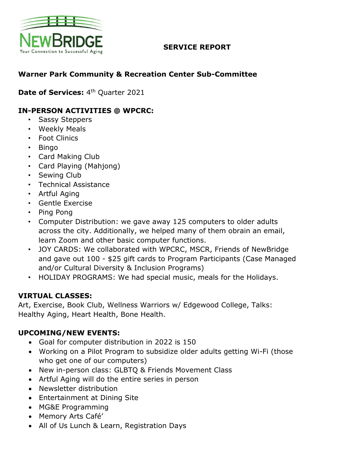

### **SERVICE REPORT**

# **Warner Park Community & Recreation Center Sub-Committee**

**Date of Services: 4th Quarter 2021** 

# **IN-PERSON ACTIVITIES @ WPCRC:**

- Sassy Steppers
- Weekly Meals
- Foot Clinics
- Bingo
- Card Making Club
- Card Playing (Mahjong)
- Sewing Club
- Technical Assistance
- Artful Aging
- Gentle Exercise
- Ping Pong
- Computer Distribution: we gave away 125 computers to older adults across the city. Additionally, we helped many of them obrain an email, learn Zoom and other basic computer functions.
- JOY CARDS: We collaborated with WPCRC, MSCR, Friends of NewBridge and gave out 100 - \$25 gift cards to Program Participants (Case Managed and/or Cultural Diversity & Inclusion Programs)
- HOLIDAY PROGRAMS: We had special music, meals for the Holidays.

#### **VIRTUAL CLASSES:**

Art, Exercise, Book Club, Wellness Warriors w/ Edgewood College, Talks: Healthy Aging, Heart Health, Bone Health.

#### **UPCOMING/NEW EVENTS:**

- Goal for computer distribution in 2022 is 150
- Working on a Pilot Program to subsidize older adults getting Wi-Fi (those who get one of our computers)
- New in-person class: GLBTQ & Friends Movement Class
- Artful Aging will do the entire series in person
- Newsletter distribution
- Entertainment at Dining Site
- MG&E Programming
- Memory Arts Café'
- All of Us Lunch & Learn, Registration Days